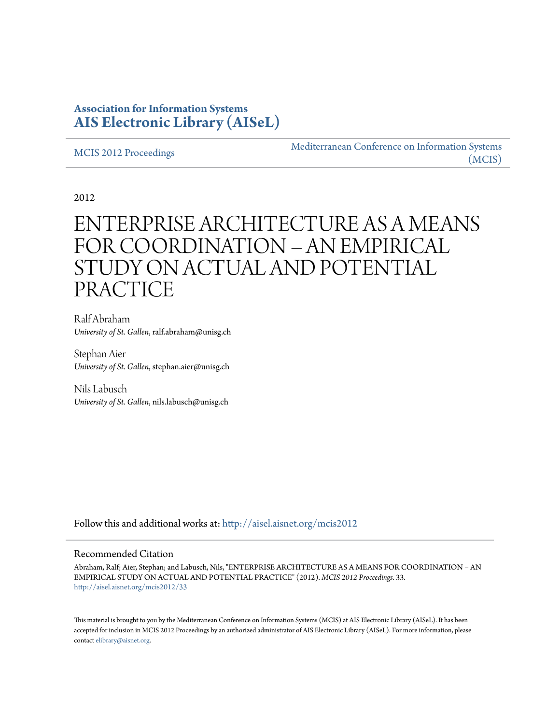# **Association for Information Systems [AIS Electronic Library \(AISeL\)](http://aisel.aisnet.org?utm_source=aisel.aisnet.org%2Fmcis2012%2F33&utm_medium=PDF&utm_campaign=PDFCoverPages)**

#### [MCIS 2012 Proceedings](http://aisel.aisnet.org/mcis2012?utm_source=aisel.aisnet.org%2Fmcis2012%2F33&utm_medium=PDF&utm_campaign=PDFCoverPages)

[Mediterranean Conference on Information Systems](http://aisel.aisnet.org/mcis?utm_source=aisel.aisnet.org%2Fmcis2012%2F33&utm_medium=PDF&utm_campaign=PDFCoverPages) [\(MCIS\)](http://aisel.aisnet.org/mcis?utm_source=aisel.aisnet.org%2Fmcis2012%2F33&utm_medium=PDF&utm_campaign=PDFCoverPages)

2012

# ENTERPRISE ARCHITECTURE AS A MEANS FOR COORDINATION – AN EMPIRICAL STUDY ON ACTUAL AND POTENTIAL PRACTICE

Ralf Abraham *University of St. Gallen*, ralf.abraham@unisg.ch

Stephan Aier *University of St. Gallen*, stephan.aier@unisg.ch

Nils Labusch *University of St. Gallen*, nils.labusch@unisg.ch

Follow this and additional works at: [http://aisel.aisnet.org/mcis2012](http://aisel.aisnet.org/mcis2012?utm_source=aisel.aisnet.org%2Fmcis2012%2F33&utm_medium=PDF&utm_campaign=PDFCoverPages)

#### Recommended Citation

Abraham, Ralf; Aier, Stephan; and Labusch, Nils, "ENTERPRISE ARCHITECTURE AS A MEANS FOR COORDINATION – AN EMPIRICAL STUDY ON ACTUAL AND POTENTIAL PRACTICE" (2012). *MCIS 2012 Proceedings*. 33. [http://aisel.aisnet.org/mcis2012/33](http://aisel.aisnet.org/mcis2012/33?utm_source=aisel.aisnet.org%2Fmcis2012%2F33&utm_medium=PDF&utm_campaign=PDFCoverPages)

This material is brought to you by the Mediterranean Conference on Information Systems (MCIS) at AIS Electronic Library (AISeL). It has been accepted for inclusion in MCIS 2012 Proceedings by an authorized administrator of AIS Electronic Library (AISeL). For more information, please contact [elibrary@aisnet.org.](mailto:elibrary@aisnet.org%3E)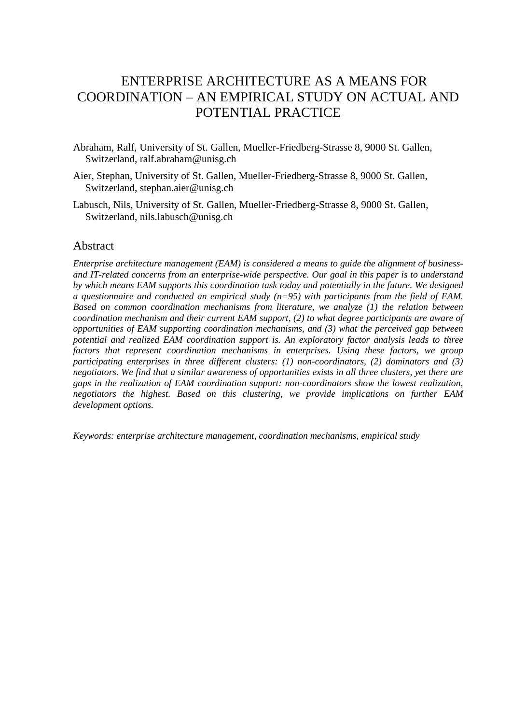# ENTERPRISE ARCHITECTURE AS A MEANS FOR COORDINATION – AN EMPIRICAL STUDY ON ACTUAL AND POTENTIAL PRACTICE

- Abraham, Ralf, University of St. Gallen, Mueller-Friedberg-Strasse 8, 9000 St. Gallen, Switzerland, ralf.abraham@unisg.ch
- Aier, Stephan, University of St. Gallen, Mueller-Friedberg-Strasse 8, 9000 St. Gallen, Switzerland, stephan.aier@unisg.ch
- Labusch, Nils, University of St. Gallen, Mueller-Friedberg-Strasse 8, 9000 St. Gallen, Switzerland, nils.labusch@unisg.ch

#### **Abstract**

*Enterprise architecture management (EAM) is considered a means to guide the alignment of businessand IT-related concerns from an enterprise-wide perspective. Our goal in this paper is to understand by which means EAM supports this coordination task today and potentially in the future. We designed a questionnaire and conducted an empirical study (n=95) with participants from the field of EAM. Based on common coordination mechanisms from literature, we analyze (1) the relation between coordination mechanism and their current EAM support, (2) to what degree participants are aware of opportunities of EAM supporting coordination mechanisms, and (3) what the perceived gap between potential and realized EAM coordination support is. An exploratory factor analysis leads to three factors that represent coordination mechanisms in enterprises. Using these factors, we group participating enterprises in three different clusters: (1) non-coordinators, (2) dominators and (3) negotiators. We find that a similar awareness of opportunities exists in all three clusters, yet there are gaps in the realization of EAM coordination support: non-coordinators show the lowest realization, negotiators the highest. Based on this clustering, we provide implications on further EAM development options.*

*Keywords: enterprise architecture management, coordination mechanisms, empirical study*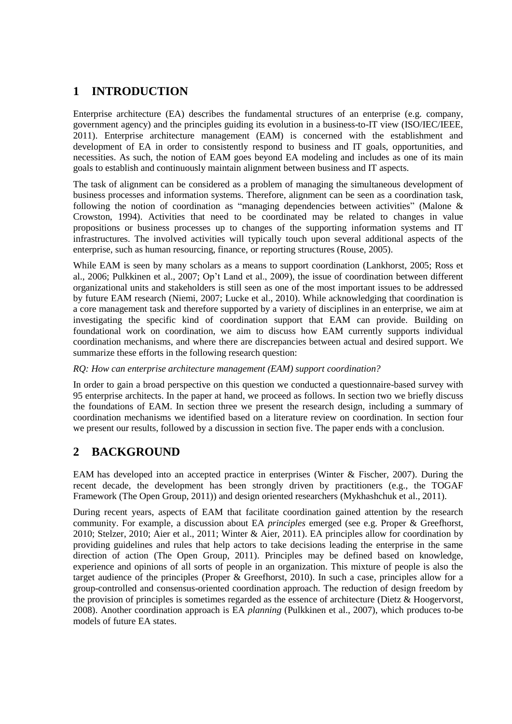# **1 INTRODUCTION**

Enterprise architecture (EA) describes the fundamental structures of an enterprise (e.g. company, government agency) and the principles guiding its evolution in a business-to-IT view [\(ISO/IEC/IEEE,](#page-9-0)  [2011\)](#page-9-0). Enterprise architecture management (EAM) is concerned with the establishment and development of EA in order to consistently respond to business and IT goals, opportunities, and necessities. As such, the notion of EAM goes beyond EA modeling and includes as one of its main goals to establish and continuously maintain alignment between business and IT aspects.

The task of alignment can be considered as a problem of managing the simultaneous development of business processes and information systems. Therefore, alignment can be seen as a coordination task, following the notion of coordination as "managing dependencies between activities" [\(Malone &](#page-10-0)  [Crowston, 1994\)](#page-10-0). Activities that need to be coordinated may be related to changes in value propositions or business processes up to changes of the supporting information systems and IT infrastructures. The involved activities will typically touch upon several additional aspects of the enterprise, such as human resourcing, finance, or reporting structures [\(Rouse, 2005\)](#page-10-1).

While EAM is seen by many scholars as a means to support coordination [\(Lankhorst, 2005;](#page-9-1) [Ross et](#page-10-2)  [al., 2006;](#page-10-2) [Pulkkinen et al., 2007;](#page-10-3) [Op't Land et al., 2009\)](#page-10-4), the issue of coordination between different organizational units and stakeholders is still seen as one of the most important issues to be addressed by future EAM research [\(Niemi, 2007;](#page-10-5) [Lucke et al., 2010\)](#page-9-2). While acknowledging that coordination is a core management task and therefore supported by a variety of disciplines in an enterprise, we aim at investigating the specific kind of coordination support that EAM can provide. Building on foundational work on coordination, we aim to discuss how EAM currently supports individual coordination mechanisms, and where there are discrepancies between actual and desired support. We summarize these efforts in the following research question:

#### *RQ: How can enterprise architecture management (EAM) support coordination?*

In order to gain a broad perspective on this question we conducted a questionnaire-based survey with 95 enterprise architects. In the paper at hand, we proceed as follows. In section two we briefly discuss the foundations of EAM. In section three we present the research design, including a summary of coordination mechanisms we identified based on a literature review on coordination. In section four we present our results, followed by a discussion in section five. The paper ends with a conclusion.

# **2 BACKGROUND**

EAM has developed into an accepted practice in enterprises [\(Winter & Fischer, 2007\)](#page-10-6). During the recent decade, the development has been strongly driven by practitioners (e.g., the TOGAF Framework [\(The Open Group, 2011\)](#page-10-7)) and design oriented researchers [\(Mykhashchuk et al., 2011\)](#page-10-8).

During recent years, aspects of EAM that facilitate coordination gained attention by the research community. For example, a discussion about EA *principles* emerged (see e.g. [Proper & Greefhorst,](#page-10-9)  [2010;](#page-10-9) [Stelzer, 2010;](#page-10-10) [Aier et al., 2011;](#page-9-3) [Winter & Aier, 2011\)](#page-10-11). EA principles allow for coordination by providing guidelines and rules that help actors to take decisions leading the enterprise in the same direction of action [\(The Open Group, 2011\)](#page-10-7). Principles may be defined based on knowledge, experience and opinions of all sorts of people in an organization. This mixture of people is also the target audience of the principles [\(Proper & Greefhorst, 2010\)](#page-10-9). In such a case, principles allow for a group-controlled and consensus-oriented coordination approach. The reduction of design freedom by the provision of principles is sometimes regarded as the essence of architecture [\(Dietz & Hoogervorst,](#page-9-4)  [2008\)](#page-9-4). Another coordination approach is EA *planning* [\(Pulkkinen et al., 2007\)](#page-10-3), which produces to-be models of future EA states.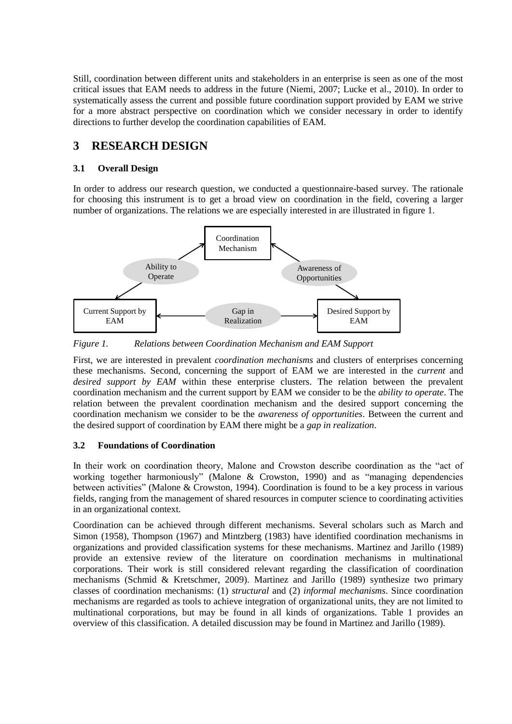Still, coordination between different units and stakeholders in an enterprise is seen as one of the most critical issues that EAM needs to address in the future [\(Niemi, 2007;](#page-10-5) [Lucke et al., 2010\)](#page-9-2). In order to systematically assess the current and possible future coordination support provided by EAM we strive for a more abstract perspective on coordination which we consider necessary in order to identify directions to further develop the coordination capabilities of EAM.

# **3 RESEARCH DESIGN**

#### **3.1 Overall Design**

In order to address our research question, we conducted a questionnaire-based survey. The rationale for choosing this instrument is to get a broad view on coordination in the field, covering a larger number of organizations. The relations we are especially interested in are illustrated in figure 1.



*Figure 1. Relations between Coordination Mechanism and EAM Support*

First, we are interested in prevalent *coordination mechanisms* and clusters of enterprises concerning these mechanisms. Second, concerning the support of EAM we are interested in the *current* and *desired support by EAM* within these enterprise clusters. The relation between the prevalent coordination mechanism and the current support by EAM we consider to be the *ability to operate*. The relation between the prevalent coordination mechanism and the desired support concerning the coordination mechanism we consider to be the *awareness of opportunities*. Between the current and the desired support of coordination by EAM there might be a *gap in realization*.

#### <span id="page-3-0"></span>**3.2 Foundations of Coordination**

In their work on coordination theory, Malone and Crowston describe coordination as the "act of working together harmoniously" [\(Malone & Crowston, 1990\)](#page-10-12) and as "managing dependencies between activities" [\(Malone & Crowston, 1994\)](#page-10-0). Coordination is found to be a key process in various fields, ranging from the management of shared resources in computer science to coordinating activities in an organizational context.

Coordination can be achieved through different mechanisms. Several scholars such as March and Simon [\(1958\)](#page-10-13), Thompson [\(1967\)](#page-10-14) and Mintzberg [\(1983\)](#page-10-15) have identified coordination mechanisms in organizations and provided classification systems for these mechanisms. Martinez and Jarillo [\(1989\)](#page-10-16) provide an extensive review of the literature on coordination mechanisms in multinational corporations. Their work is still considered relevant regarding the classification of coordination mechanisms [\(Schmid & Kretschmer, 2009\)](#page-10-17). Martinez and Jarillo [\(1989\)](#page-10-16) synthesize two primary classes of coordination mechanisms: (1) *structural* and (2) *informal mechanisms*. Since coordination mechanisms are regarded as tools to achieve integration of organizational units, they are not limited to multinational corporations, but may be found in all kinds of organizations. Table 1 provides an overview of this classification. A detailed discussion may be found in Martinez and Jarillo [\(1989\)](#page-10-16).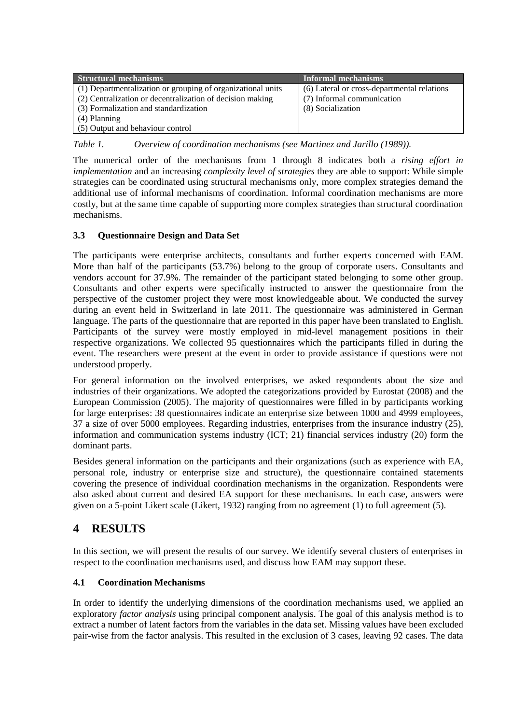| <b>Structural mechanisms</b>                                | Informal mechanisms                         |
|-------------------------------------------------------------|---------------------------------------------|
| (1) Departmentalization or grouping of organizational units | (6) Lateral or cross-departmental relations |
| (2) Centralization or decentralization of decision making   | (7) Informal communication                  |
| (3) Formalization and standardization                       | (8) Socialization                           |
| (4) Planning                                                |                                             |
| (5) Output and behaviour control                            |                                             |

*Table 1. Overview of coordination mechanisms (see Martinez and Jarillo [\(1989\)](#page-10-16))*.

The numerical order of the mechanisms from 1 through 8 indicates both a *rising effort in implementation* and an increasing *complexity level of strategies* they are able to support: While simple strategies can be coordinated using structural mechanisms only, more complex strategies demand the additional use of informal mechanisms of coordination. Informal coordination mechanisms are more costly, but at the same time capable of supporting more complex strategies than structural coordination mechanisms.

#### **3.3 Questionnaire Design and Data Set**

The participants were enterprise architects, consultants and further experts concerned with EAM. More than half of the participants (53.7%) belong to the group of corporate users. Consultants and vendors account for 37.9%. The remainder of the participant stated belonging to some other group. Consultants and other experts were specifically instructed to answer the questionnaire from the perspective of the customer project they were most knowledgeable about. We conducted the survey during an event held in Switzerland in late 2011. The questionnaire was administered in German language. The parts of the questionnaire that are reported in this paper have been translated to English. Participants of the survey were mostly employed in mid-level management positions in their respective organizations. We collected 95 questionnaires which the participants filled in during the event. The researchers were present at the event in order to provide assistance if questions were not understood properly.

For general information on the involved enterprises, we asked respondents about the size and industries of their organizations. We adopted the categorizations provided by Eurostat [\(2008\)](#page-9-5) and the European Commission [\(2005\)](#page-9-6). The majority of questionnaires were filled in by participants working for large enterprises: 38 questionnaires indicate an enterprise size between 1000 and 4999 employees, 37 a size of over 5000 employees. Regarding industries, enterprises from the insurance industry (25), information and communication systems industry (ICT; 21) financial services industry (20) form the dominant parts.

Besides general information on the participants and their organizations (such as experience with EA, personal role, industry or enterprise size and structure), the questionnaire contained statements covering the presence of individual coordination mechanisms in the organization. Respondents were also asked about current and desired EA support for these mechanisms. In each case, answers were given on a 5-point Likert scale [\(Likert, 1932\)](#page-9-7) ranging from no agreement (1) to full agreement (5).

# **4 RESULTS**

In this section, we will present the results of our survey. We identify several clusters of enterprises in respect to the coordination mechanisms used, and discuss how EAM may support these.

#### **4.1 Coordination Mechanisms**

In order to identify the underlying dimensions of the coordination mechanisms used, we applied an exploratory *factor analysis* using principal component analysis. The goal of this analysis method is to extract a number of latent factors from the variables in the data set. Missing values have been excluded pair-wise from the factor analysis. This resulted in the exclusion of 3 cases, leaving 92 cases. The data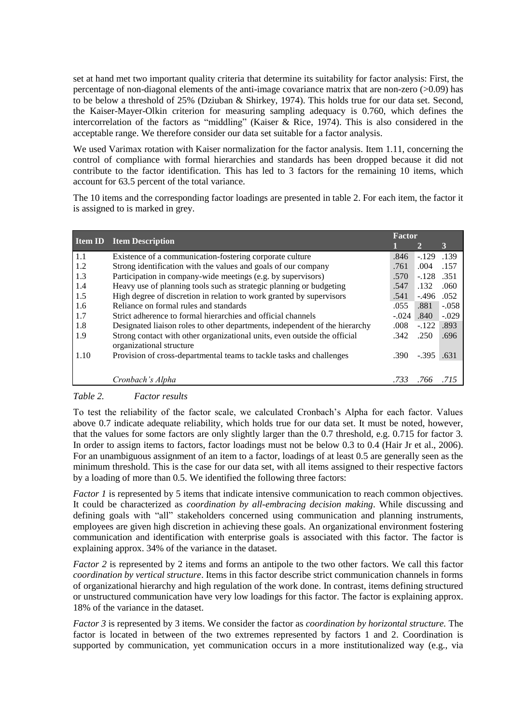set at hand met two important quality criteria that determine its suitability for factor analysis: First, the percentage of non-diagonal elements of the anti-image covariance matrix that are non-zero  $(0.09)$  has to be below a threshold of 25% [\(Dziuban & Shirkey, 1974\)](#page-9-8). This holds true for our data set. Second, the Kaiser-Mayer-Olkin criterion for measuring sampling adequacy is 0.760, which defines the intercorrelation of the factors as "middling" [\(Kaiser & Rice, 1974\)](#page-9-9). This is also considered in the acceptable range. We therefore consider our data set suitable for a factor analysis.

We used Varimax rotation with Kaiser normalization for the factor analysis. Item 1.11, concerning the control of compliance with formal hierarchies and standards has been dropped because it did not contribute to the factor identification. This has led to 3 factors for the remaining 10 items, which account for 63.5 percent of the total variance.

The 10 items and the corresponding factor loadings are presented in table 2. For each item, the factor it is assigned to is marked in grey.

|      |                                                                                                       | Factor  |         |         |
|------|-------------------------------------------------------------------------------------------------------|---------|---------|---------|
|      | <b>Item ID</b> Item Description                                                                       |         | 2       | 3       |
| 1.1  | Existence of a communication-fostering corporate culture                                              | .846    | $-.129$ | .139    |
| 1.2  | Strong identification with the values and goals of our company                                        | .761    | .004    | .157    |
| 1.3  | Participation in company-wide meetings (e.g. by supervisors)                                          | .570    | $-.128$ | .351    |
| 1.4  | Heavy use of planning tools such as strategic planning or budgeting                                   | .547    | .132    | .060    |
| 1.5  | High degree of discretion in relation to work granted by supervisors                                  | .541    | $-.496$ | .052    |
| 1.6  | Reliance on formal rules and standards                                                                | .055    | .881    | $-.058$ |
| 1.7  | Strict adherence to formal hierarchies and official channels                                          | $-.024$ | .840    | $-.029$ |
| 1.8  | Designated liaison roles to other departments, independent of the hierarchy                           | .008    | $-122$  | .893    |
| 1.9  | Strong contact with other organizational units, even outside the official<br>organizational structure | .342    | .250    | .696    |
| 1.10 | Provision of cross-departmental teams to tackle tasks and challenges                                  | .390    | $-.395$ | .631    |
|      | Cronbach's Alpha                                                                                      | .733    |         |         |

#### *Table 2. Factor results*

To test the reliability of the factor scale, we calculated Cronbach's Alpha for each factor. Values above 0.7 indicate adequate reliability, which holds true for our data set. It must be noted, however, that the values for some factors are only slightly larger than the 0.7 threshold, e.g. 0.715 for factor 3. In order to assign items to factors, factor loadings must not be below 0.3 to 0.4 [\(Hair Jr et al., 2006\)](#page-9-10). For an unambiguous assignment of an item to a factor, loadings of at least 0.5 are generally seen as the minimum threshold. This is the case for our data set, with all items assigned to their respective factors by a loading of more than 0.5. We identified the following three factors:

*Factor 1* is represented by 5 items that indicate intensive communication to reach common objectives. It could be characterized as *coordination by all-embracing decision making*. While discussing and defining goals with "all" stakeholders concerned using communication and planning instruments, employees are given high discretion in achieving these goals. An organizational environment fostering communication and identification with enterprise goals is associated with this factor. The factor is explaining approx. 34% of the variance in the dataset.

*Factor 2* is represented by 2 items and forms an antipole to the two other factors. We call this factor *coordination by vertical structure*. Items in this factor describe strict communication channels in forms of organizational hierarchy and high regulation of the work done. In contrast, items defining structured or unstructured communication have very low loadings for this factor. The factor is explaining approx. 18% of the variance in the dataset.

*Factor 3* is represented by 3 items. We consider the factor as *coordination by horizontal structure.* The factor is located in between of the two extremes represented by factors 1 and 2. Coordination is supported by communication, yet communication occurs in a more institutionalized way (e.g., via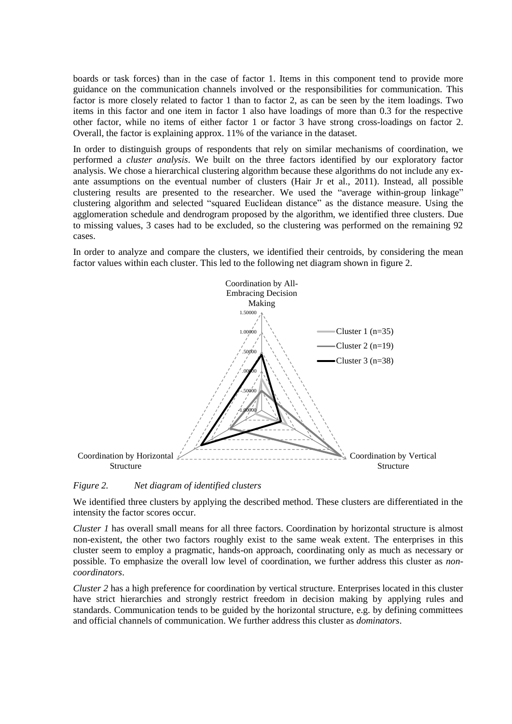boards or task forces) than in the case of factor 1. Items in this component tend to provide more guidance on the communication channels involved or the responsibilities for communication. This factor is more closely related to factor 1 than to factor 2, as can be seen by the item loadings. Two items in this factor and one item in factor 1 also have loadings of more than 0.3 for the respective other factor, while no items of either factor 1 or factor 3 have strong cross-loadings on factor 2. Overall, the factor is explaining approx. 11% of the variance in the dataset.

In order to distinguish groups of respondents that rely on similar mechanisms of coordination, we performed a *cluster analysis*. We built on the three factors identified by our exploratory factor analysis. We chose a hierarchical clustering algorithm because these algorithms do not include any exante assumptions on the eventual number of clusters [\(Hair Jr et al., 2011\)](#page-9-11). Instead, all possible clustering results are presented to the researcher. We used the "average within-group linkage" clustering algorithm and selected "squared Euclidean distance" as the distance measure. Using the agglomeration schedule and dendrogram proposed by the algorithm, we identified three clusters. Due to missing values, 3 cases had to be excluded, so the clustering was performed on the remaining 92 cases.

In order to analyze and compare the clusters, we identified their centroids, by considering the mean factor values within each cluster. This led to the following net diagram shown in figure 2.



#### *Figure 2. Net diagram of identified clusters*

We identified three clusters by applying the described method. These clusters are differentiated in the intensity the factor scores occur.

*Cluster 1* has overall small means for all three factors. Coordination by horizontal structure is almost non-existent, the other two factors roughly exist to the same weak extent. The enterprises in this cluster seem to employ a pragmatic, hands-on approach, coordinating only as much as necessary or possible. To emphasize the overall low level of coordination, we further address this cluster as *noncoordinators*.

*Cluster 2* has a high preference for coordination by vertical structure. Enterprises located in this cluster have strict hierarchies and strongly restrict freedom in decision making by applying rules and standards. Communication tends to be guided by the horizontal structure, e.g. by defining committees and official channels of communication. We further address this cluster as *dominators*.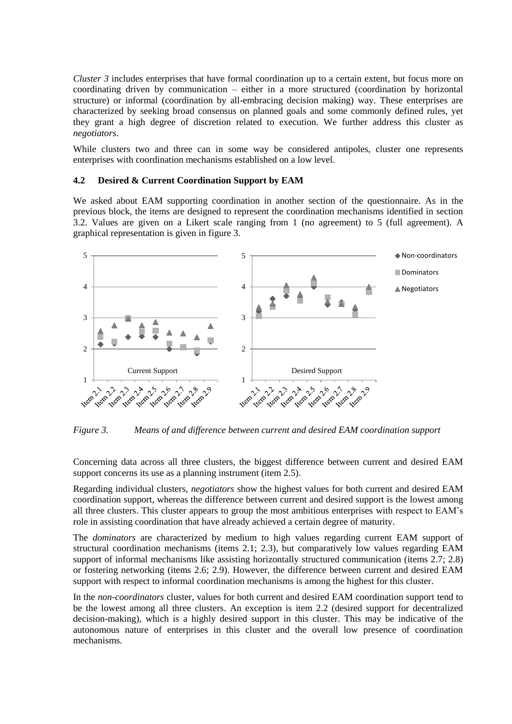*Cluster 3* includes enterprises that have formal coordination up to a certain extent, but focus more on coordinating driven by communication – either in a more structured (coordination by horizontal structure) or informal (coordination by all-embracing decision making) way. These enterprises are characterized by seeking broad consensus on planned goals and some commonly defined rules, yet they grant a high degree of discretion related to execution. We further address this cluster as *negotiators*.

While clusters two and three can in some way be considered antipoles, cluster one represents enterprises with coordination mechanisms established on a low level.

#### **4.2 Desired & Current Coordination Support by EAM**

We asked about EAM supporting coordination in another section of the questionnaire. As in the previous block, the items are designed to represent the coordination mechanisms identified in section [3.2.](#page-3-0) Values are given on a Likert scale ranging from 1 (no agreement) to 5 (full agreement). A graphical representation is given in figure 3.



*Figure 3. Means of and difference between current and desired EAM coordination support*

Concerning data across all three clusters, the biggest difference between current and desired EAM support concerns its use as a planning instrument (item 2.5).

Regarding individual clusters, *negotiators* show the highest values for both current and desired EAM coordination support, whereas the difference between current and desired support is the lowest among all three clusters. This cluster appears to group the most ambitious enterprises with respect to EAM's role in assisting coordination that have already achieved a certain degree of maturity.

The *dominators* are characterized by medium to high values regarding current EAM support of structural coordination mechanisms (items 2.1; 2.3), but comparatively low values regarding EAM support of informal mechanisms like assisting horizontally structured communication (items 2.7; 2.8) or fostering networking (items 2.6; 2.9). However, the difference between current and desired EAM support with respect to informal coordination mechanisms is among the highest for this cluster.

In the *non-coordinators* cluster, values for both current and desired EAM coordination support tend to be the lowest among all three clusters. An exception is item 2.2 (desired support for decentralized decision-making), which is a highly desired support in this cluster. This may be indicative of the autonomous nature of enterprises in this cluster and the overall low presence of coordination mechanisms.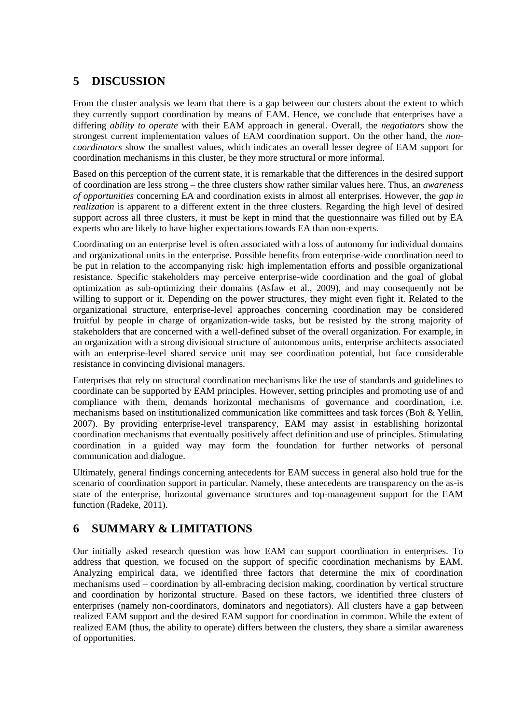# **5 DISCUSSION**

From the cluster analysis we learn that there is a gap between our clusters about the extent to which they currently support coordination by means of EAM. Hence, we conclude that enterprises have a differing *ability to operate* with their EAM approach in general. Overall, the *negotiators* show the strongest current implementation values of EAM coordination support. On the other hand, the *noncoordinators* show the smallest values, which indicates an overall lesser degree of EAM support for coordination mechanisms in this cluster, be they more structural or more informal.

Based on this perception of the current state, it is remarkable that the differences in the desired support of coordination are less strong – the three clusters show rather similar values here. Thus, an *awareness of opportunities* concerning EA and coordination exists in almost all enterprises. However, the *gap in realization* is apparent to a different extent in the three clusters. Regarding the high level of desired support across all three clusters, it must be kept in mind that the questionnaire was filled out by EA experts who are likely to have higher expectations towards EA than non-experts.

Coordinating on an enterprise level is often associated with a loss of autonomy for individual domains and organizational units in the enterprise. Possible benefits from enterprise-wide coordination need to be put in relation to the accompanying risk: high implementation efforts and possible organizational resistance. Specific stakeholders may perceive enterprise-wide coordination and the goal of global optimization as sub-optimizing their domains [\(Asfaw et al., 2009\)](#page-9-12), and may consequently not be willing to support or it. Depending on the power structures, they might even fight it. Related to the organizational structure, enterprise-level approaches concerning coordination may be considered fruitful by people in charge of organization-wide tasks, but be resisted by the strong majority of stakeholders that are concerned with a well-defined subset of the overall organization. For example, in an organization with a strong divisional structure of autonomous units, enterprise architects associated with an enterprise-level shared service unit may see coordination potential, but face considerable resistance in convincing divisional managers.

Enterprises that rely on structural coordination mechanisms like the use of standards and guidelines to coordinate can be supported by EAM principles. However, setting principles and promoting use of and compliance with them, demands horizontal mechanisms of governance and coordination, i.e. mechanisms based on institutionalized communication like committees and task forces [\(Boh & Yellin,](#page-9-13)  [2007\)](#page-9-13). By providing enterprise-level transparency, EAM may assist in establishing horizontal coordination mechanisms that eventually positively affect definition and use of principles. Stimulating coordination in a guided way may form the foundation for further networks of personal communication and dialogue.

Ultimately, general findings concerning antecedents for EAM success in general also hold true for the scenario of coordination support in particular. Namely, these antecedents are transparency on the as-is state of the enterprise, horizontal governance structures and top-management support for the EAM function [\(Radeke, 2011\)](#page-10-18).

# **6 SUMMARY & LIMITATIONS**

Our initially asked research question was how EAM can support coordination in enterprises. To address that question, we focused on the support of specific coordination mechanisms by EAM. Analyzing empirical data, we identified three factors that determine the mix of coordination mechanisms used – coordination by all-embracing decision making, coordination by vertical structure and coordination by horizontal structure. Based on these factors, we identified three clusters of enterprises (namely non-coordinators, dominators and negotiators). All clusters have a gap between realized EAM support and the desired EAM support for coordination in common. While the extent of realized EAM (thus, the ability to operate) differs between the clusters, they share a similar awareness of opportunities.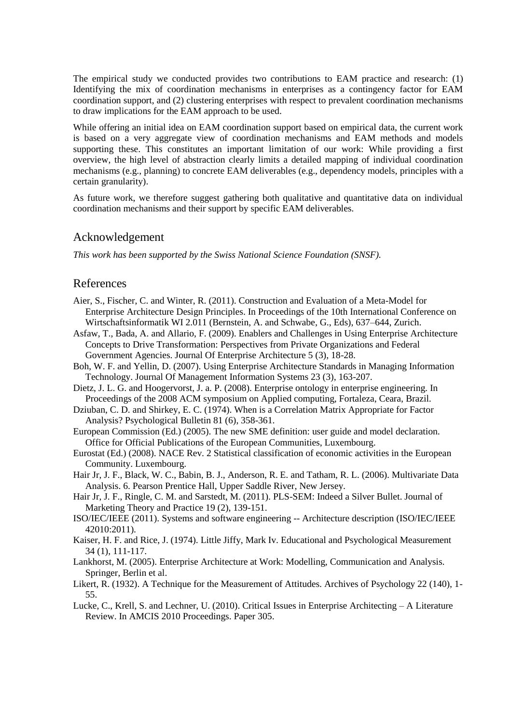The empirical study we conducted provides two contributions to EAM practice and research: (1) Identifying the mix of coordination mechanisms in enterprises as a contingency factor for EAM coordination support, and (2) clustering enterprises with respect to prevalent coordination mechanisms to draw implications for the EAM approach to be used.

While offering an initial idea on EAM coordination support based on empirical data, the current work is based on a very aggregate view of coordination mechanisms and EAM methods and models supporting these. This constitutes an important limitation of our work: While providing a first overview, the high level of abstraction clearly limits a detailed mapping of individual coordination mechanisms (e.g., planning) to concrete EAM deliverables (e.g., dependency models, principles with a certain granularity).

As future work, we therefore suggest gathering both qualitative and quantitative data on individual coordination mechanisms and their support by specific EAM deliverables.

#### Acknowledgement

*This work has been supported by the Swiss National Science Foundation (SNSF).*

#### References

- <span id="page-9-3"></span>Aier, S., Fischer, C. and Winter, R. (2011). Construction and Evaluation of a Meta-Model for Enterprise Architecture Design Principles. In Proceedings of the 10th International Conference on Wirtschaftsinformatik WI 2.011 (Bernstein, A. and Schwabe, G., Eds), 637–644, Zurich.
- <span id="page-9-12"></span>Asfaw, T., Bada, A. and Allario, F. (2009). Enablers and Challenges in Using Enterprise Architecture Concepts to Drive Transformation: Perspectives from Private Organizations and Federal Government Agencies. Journal Of Enterprise Architecture 5 (3), 18-28.
- <span id="page-9-13"></span>Boh, W. F. and Yellin, D. (2007). Using Enterprise Architecture Standards in Managing Information Technology. Journal Of Management Information Systems 23 (3), 163-207.
- <span id="page-9-4"></span>Dietz, J. L. G. and Hoogervorst, J. a. P. (2008). Enterprise ontology in enterprise engineering. In Proceedings of the 2008 ACM symposium on Applied computing, Fortaleza, Ceara, Brazil.
- <span id="page-9-8"></span>Dziuban, C. D. and Shirkey, E. C. (1974). When is a Correlation Matrix Appropriate for Factor Analysis? Psychological Bulletin 81 (6), 358-361.
- <span id="page-9-6"></span>European Commission (Ed.) (2005). The new SME definition: user guide and model declaration. Office for Official Publications of the European Communities, Luxembourg.
- <span id="page-9-5"></span>Eurostat (Ed.) (2008). NACE Rev. 2 Statistical classification of economic activities in the European Community. Luxembourg.
- <span id="page-9-10"></span>Hair Jr, J. F., Black, W. C., Babin, B. J., Anderson, R. E. and Tatham, R. L. (2006). Multivariate Data Analysis. 6. Pearson Prentice Hall, Upper Saddle River, New Jersey.
- <span id="page-9-11"></span>Hair Jr, J. F., Ringle, C. M. and Sarstedt, M. (2011). PLS-SEM: Indeed a Silver Bullet. Journal of Marketing Theory and Practice 19 (2), 139-151.
- <span id="page-9-0"></span>ISO/IEC/IEEE (2011). Systems and software engineering -- Architecture description (ISO/IEC/IEEE 42010:2011).
- <span id="page-9-9"></span>Kaiser, H. F. and Rice, J. (1974). Little Jiffy, Mark Iv. Educational and Psychological Measurement 34 (1), 111-117.
- <span id="page-9-1"></span>Lankhorst, M. (2005). Enterprise Architecture at Work: Modelling, Communication and Analysis. Springer, Berlin et al.
- <span id="page-9-7"></span>Likert, R. (1932). A Technique for the Measurement of Attitudes. Archives of Psychology 22 (140), 1- 55.
- <span id="page-9-2"></span>Lucke, C., Krell, S. and Lechner, U. (2010). Critical Issues in Enterprise Architecting – A Literature Review. In AMCIS 2010 Proceedings. Paper 305.